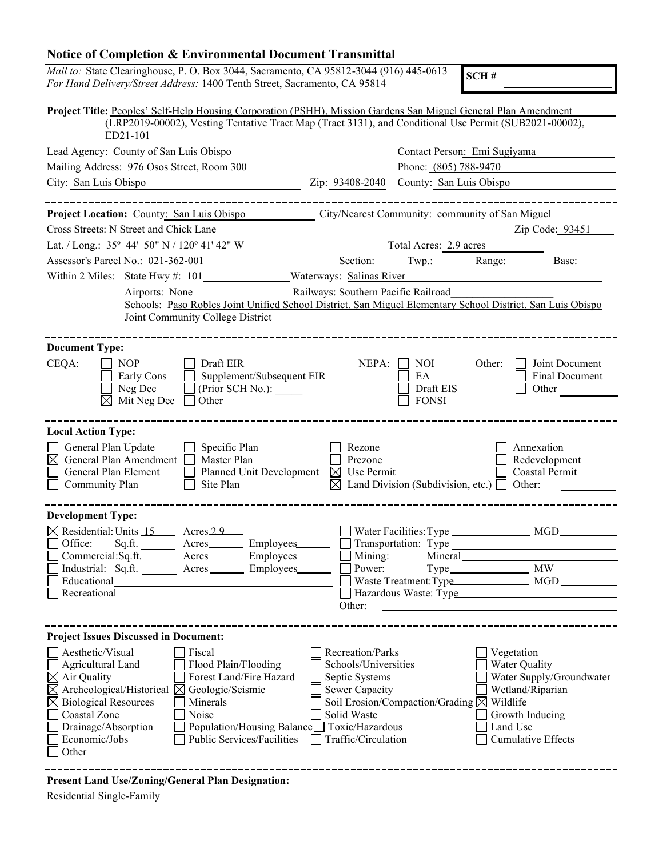## **Notice of Completion & Environmental Document Transmittal**

*Mail to:* State Clearinghouse, P. O. Box 3044, Sacramento, CA 95812-3044 (916) 445-0613 *For Hand Delivery/Street Address:* 1400 Tenth Street, Sacramento, CA 95814

**SCH #**

| Project Title: Peoples' Self-Help Housing Corporation (PSHH), Mission Gardens San Miguel General Plan Amendment<br>(LRP2019-00002), Vesting Tentative Tract Map (Tract 3131), and Conditional Use Permit (SUB2021-00002),<br>ED21-101                                                                                                                                                                                                                                                                                                           |                                                                                                                                                                                                 |  |  |  |  |
|-------------------------------------------------------------------------------------------------------------------------------------------------------------------------------------------------------------------------------------------------------------------------------------------------------------------------------------------------------------------------------------------------------------------------------------------------------------------------------------------------------------------------------------------------|-------------------------------------------------------------------------------------------------------------------------------------------------------------------------------------------------|--|--|--|--|
| Lead Agency: County of San Luis Obispo                                                                                                                                                                                                                                                                                                                                                                                                                                                                                                          | Contact Person: Emi Sugiyama                                                                                                                                                                    |  |  |  |  |
| Mailing Address: 976 Osos Street, Room 300                                                                                                                                                                                                                                                                                                                                                                                                                                                                                                      | Phone: (805) 788-9470                                                                                                                                                                           |  |  |  |  |
| City: San Luis Obispo<br>Zip: 93408-2040                                                                                                                                                                                                                                                                                                                                                                                                                                                                                                        | County: San Luis Obispo                                                                                                                                                                         |  |  |  |  |
|                                                                                                                                                                                                                                                                                                                                                                                                                                                                                                                                                 |                                                                                                                                                                                                 |  |  |  |  |
| Project Location: County: San Luis Obispo                                                                                                                                                                                                                                                                                                                                                                                                                                                                                                       | City/Nearest Community: community of San Miguel                                                                                                                                                 |  |  |  |  |
| Cross Streets: N Street and Chick Lane                                                                                                                                                                                                                                                                                                                                                                                                                                                                                                          | Zip Code: 93451                                                                                                                                                                                 |  |  |  |  |
| Lat. / Long.: 35° 44' 50" N / 120° 41' 42" W                                                                                                                                                                                                                                                                                                                                                                                                                                                                                                    | Total Acres: 2.9 acres                                                                                                                                                                          |  |  |  |  |
| Assessor's Parcel No.: 021-362-001<br>Section: Twp.: Range:                                                                                                                                                                                                                                                                                                                                                                                                                                                                                     | Base:                                                                                                                                                                                           |  |  |  |  |
| Within 2 Miles: State Hwy #: 101________________Waterways: Salinas River                                                                                                                                                                                                                                                                                                                                                                                                                                                                        |                                                                                                                                                                                                 |  |  |  |  |
| Railways: Southern Pacific Railroad<br>Airports: None<br>Schools: Paso Robles Joint Unified School District, San Miguel Elementary School District, San Luis Obispo<br>Joint Community College District                                                                                                                                                                                                                                                                                                                                         |                                                                                                                                                                                                 |  |  |  |  |
| <b>Document Type:</b>                                                                                                                                                                                                                                                                                                                                                                                                                                                                                                                           |                                                                                                                                                                                                 |  |  |  |  |
| CEQA:<br><b>NOP</b><br>Draft EIR<br>NEPA:<br>Early Cons<br>Supplement/Subsequent EIR<br>Neg Dec<br>(Prior SCH No.):<br>Mit Neg Dec<br>$\boxtimes$<br>Other                                                                                                                                                                                                                                                                                                                                                                                      | <b>NOI</b><br>Other:<br>Joint Document<br>EA<br><b>Final Document</b><br>Draft EIS<br>Other<br><b>FONSI</b>                                                                                     |  |  |  |  |
| <b>Local Action Type:</b>                                                                                                                                                                                                                                                                                                                                                                                                                                                                                                                       |                                                                                                                                                                                                 |  |  |  |  |
| General Plan Update<br>Specific Plan<br>Rezone<br>General Plan Amendment<br>$\boxtimes$<br>Master Plan<br>Prezone<br>General Plan Element<br>Planned Unit Development<br>$\boxtimes$ Use Permit<br>Site Plan<br>Community Plan<br>IХ                                                                                                                                                                                                                                                                                                            | Annexation<br>Redevelopment<br>Coastal Permit<br>Land Division (Subdivision, etc.) $\Box$<br>Other:                                                                                             |  |  |  |  |
| <b>Development Type:</b>                                                                                                                                                                                                                                                                                                                                                                                                                                                                                                                        |                                                                                                                                                                                                 |  |  |  |  |
| $\boxtimes$ Residential: Units 15 Acres 2.9<br>Office:<br>Sq.ft. ________ Acres__________ Employees________                                                                                                                                                                                                                                                                                                                                                                                                                                     | Transportation: Type No. 2014                                                                                                                                                                   |  |  |  |  |
| Commercial: Sq.ft.<br>Acres _________ Employees________<br>Mining:                                                                                                                                                                                                                                                                                                                                                                                                                                                                              |                                                                                                                                                                                                 |  |  |  |  |
| Industrial: Sq.ft. Acres Employees<br>Power:                                                                                                                                                                                                                                                                                                                                                                                                                                                                                                    |                                                                                                                                                                                                 |  |  |  |  |
| Educational<br>Recreational                                                                                                                                                                                                                                                                                                                                                                                                                                                                                                                     | Hazardous Waste: Type                                                                                                                                                                           |  |  |  |  |
| Other:                                                                                                                                                                                                                                                                                                                                                                                                                                                                                                                                          |                                                                                                                                                                                                 |  |  |  |  |
|                                                                                                                                                                                                                                                                                                                                                                                                                                                                                                                                                 |                                                                                                                                                                                                 |  |  |  |  |
| <b>Project Issues Discussed in Document:</b>                                                                                                                                                                                                                                                                                                                                                                                                                                                                                                    |                                                                                                                                                                                                 |  |  |  |  |
| Aesthetic/Visual<br>Fiscal<br><b>Recreation/Parks</b><br>Schools/Universities<br>Agricultural Land<br>Flood Plain/Flooding<br>$\boxtimes$ Air Quality<br>Forest Land/Fire Hazard<br>Septic Systems<br>Archeological/Historical $\boxtimes$<br>Geologic/Seismic<br>Sewer Capacity<br>$\boxtimes$<br><b>Biological Resources</b><br>Minerals<br>$\boxtimes$<br>Coastal Zone<br>Noise<br>Solid Waste<br>Toxic/Hazardous<br>Drainage/Absorption<br>Population/Housing Balance<br>Public Services/Facilities<br>Traffic/Circulation<br>Economic/Jobs | Vegetation<br>Water Quality<br>Water Supply/Groundwater<br>Wetland/Riparian<br>Soil Erosion/Compaction/Grading $\boxtimes$ Wildlife<br>Growth Inducing<br>Land Use<br><b>Cumulative Effects</b> |  |  |  |  |
| Other                                                                                                                                                                                                                                                                                                                                                                                                                                                                                                                                           |                                                                                                                                                                                                 |  |  |  |  |

-------------

**Present Land Use/Zoning/General Plan Designation:**

Residential Single-Family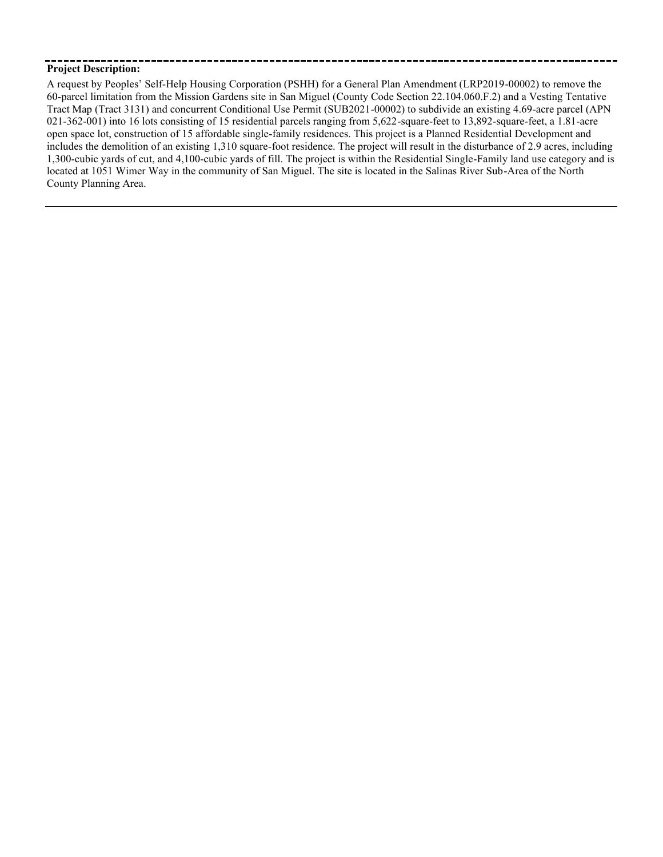## **Project Description:**

A request by Peoples' Self-Help Housing Corporation (PSHH) for a General Plan Amendment (LRP2019-00002) to remove the 60-parcel limitation from the Mission Gardens site in San Miguel (County Code Section 22.104.060.F.2) and a Vesting Tentative Tract Map (Tract 3131) and concurrent Conditional Use Permit (SUB2021-00002) to subdivide an existing 4.69-acre parcel (APN 021-362-001) into 16 lots consisting of 15 residential parcels ranging from 5,622-square-feet to 13,892-square-feet, a 1.81-acre open space lot, construction of 15 affordable single-family residences. This project is a Planned Residential Development and includes the demolition of an existing 1,310 square-foot residence. The project will result in the disturbance of 2.9 acres, including 1,300-cubic yards of cut, and 4,100-cubic yards of fill. The project is within the Residential Single-Family land use category and is located at 1051 Wimer Way in the community of San Miguel. The site is located in the Salinas River Sub-Area of the North County Planning Area.